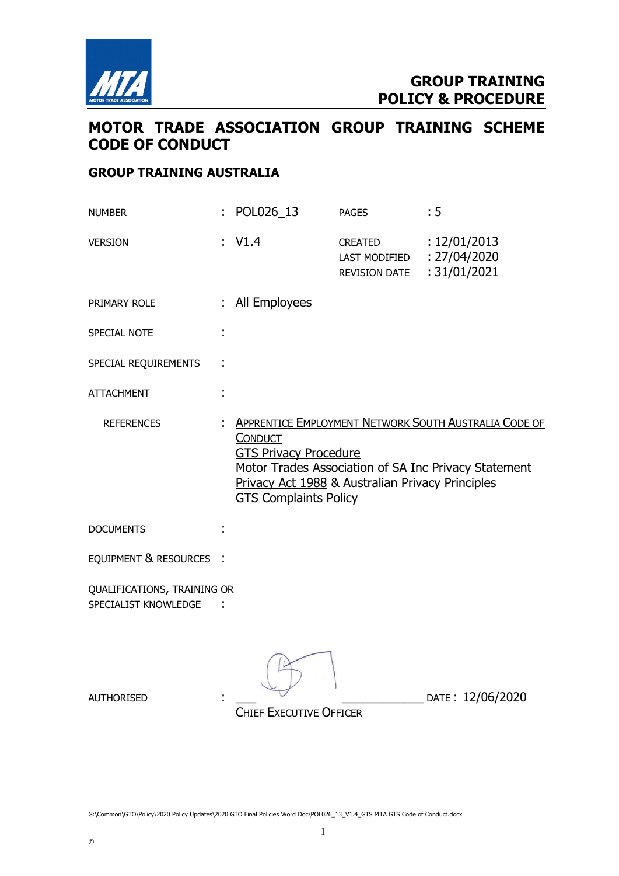

## MOTOR TRADE ASSOCIATION GROUP TRAINING SCHEME CODE OF CONDUCT

#### GROUP TRAINING AUSTRALIA

| <b>NUMBER</b>                                       | POL026_13                                                                                                                                                                                                                                                  | <b>PAGES</b>                                     | : 5                                          |  |
|-----------------------------------------------------|------------------------------------------------------------------------------------------------------------------------------------------------------------------------------------------------------------------------------------------------------------|--------------------------------------------------|----------------------------------------------|--|
| <b>VERSION</b>                                      | V1.4                                                                                                                                                                                                                                                       | CREATED<br>LAST MODIFIED<br><b>REVISION DATE</b> | : 12/01/2013<br>: 27/04/2020<br>: 31/01/2021 |  |
| PRIMARY ROLE                                        | All Employees                                                                                                                                                                                                                                              |                                                  |                                              |  |
| SPECIAL NOTE                                        |                                                                                                                                                                                                                                                            |                                                  |                                              |  |
| SPECIAL REQUIREMENTS                                |                                                                                                                                                                                                                                                            |                                                  |                                              |  |
| <b>ATTACHMENT</b>                                   |                                                                                                                                                                                                                                                            |                                                  |                                              |  |
| <b>REFERENCES</b>                                   | <b>APPRENTICE EMPLOYMENT NETWORK SOUTH AUSTRALIA CODE OF</b><br><b>CONDUCT</b><br><b>GTS Privacy Procedure</b><br>Motor Trades Association of SA Inc Privacy Statement<br>Privacy Act 1988 & Australian Privacy Principles<br><b>GTS Complaints Policy</b> |                                                  |                                              |  |
| <b>DOCUMENTS</b>                                    |                                                                                                                                                                                                                                                            |                                                  |                                              |  |
| EQUIPMENT & RESOURCES :                             |                                                                                                                                                                                                                                                            |                                                  |                                              |  |
| QUALIFICATIONS, TRAINING OR<br>SPECIALIST KNOWLEDGE |                                                                                                                                                                                                                                                            |                                                  |                                              |  |
| <b>AUTHORISED</b>                                   | <b>CHIEF EXECUTIVE OFFICER</b>                                                                                                                                                                                                                             |                                                  | DATE: 12/06/2020                             |  |

G:\Common\GTO\Policy\2020 Policy Updates\2020 GTO Final Policies Word Doc\POL026\_13\_V1.4\_GTS MTA GTS Code of Conduct.docx

©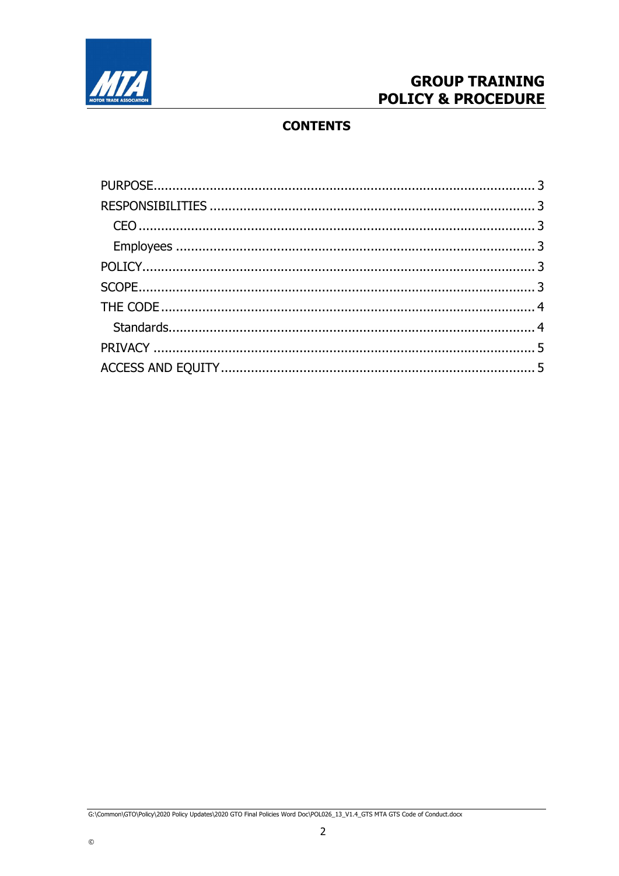

# **GROUP TRAINING POLICY & PROCEDURE**

### **CONTENTS**

G:\Common\GTO\Policy\2020 Policy Updates\2020 GTO Final Policies Word Doc\POL026\_13\_V1.4\_GTS MTA GTS Code of Conduct.docx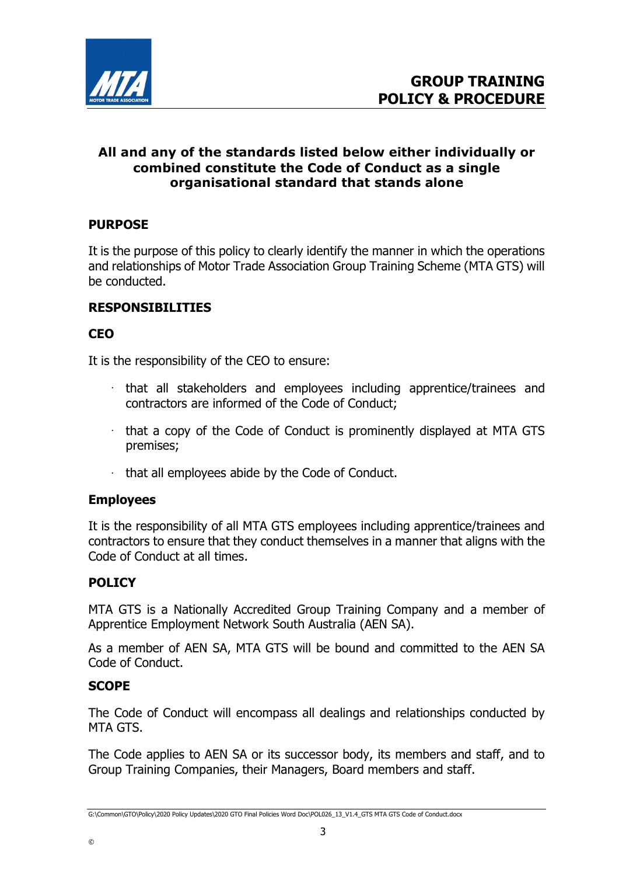

### All and any of the standards listed below either individually or combined constitute the Code of Conduct as a single organisational standard that stands alone

### PURPOSE

It is the purpose of this policy to clearly identify the manner in which the operations and relationships of Motor Trade Association Group Training Scheme (MTA GTS) will be conducted.

### RESPONSIBILITIES

### **CEO**

It is the responsibility of the CEO to ensure:

- that all stakeholders and employees including apprentice/trainees and contractors are informed of the Code of Conduct;
- $\cdot$  that a copy of the Code of Conduct is prominently displayed at MTA GTS premises;
- $\cdot$  that all employees abide by the Code of Conduct.

#### Employees

It is the responsibility of all MTA GTS employees including apprentice/trainees and contractors to ensure that they conduct themselves in a manner that aligns with the Code of Conduct at all times.

### **POLICY**

MTA GTS is a Nationally Accredited Group Training Company and a member of Apprentice Employment Network South Australia (AEN SA).

As a member of AEN SA, MTA GTS will be bound and committed to the AEN SA Code of Conduct.

#### **SCOPE**

©

The Code of Conduct will encompass all dealings and relationships conducted by MTA GTS.

The Code applies to AEN SA or its successor body, its members and staff, and to Group Training Companies, their Managers, Board members and staff.

G:\Common\GTO\Policy\2020 Policy Updates\2020 GTO Final Policies Word Doc\POL026\_13\_V1.4\_GTS MTA GTS Code of Conduct.docx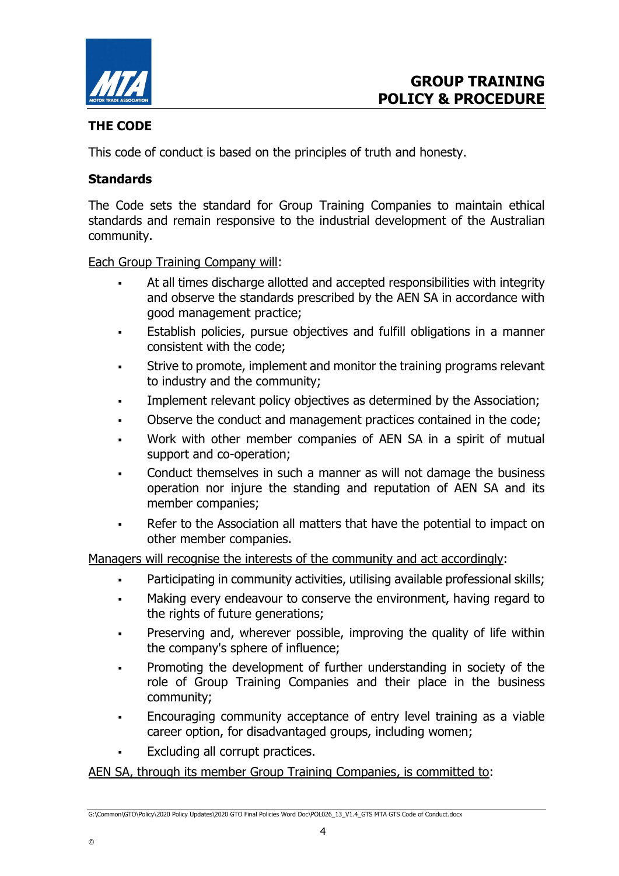

### THE CODE

This code of conduct is based on the principles of truth and honesty.

### **Standards**

The Code sets the standard for Group Training Companies to maintain ethical standards and remain responsive to the industrial development of the Australian community.

Each Group Training Company will:

- At all times discharge allotted and accepted responsibilities with integrity and observe the standards prescribed by the AEN SA in accordance with good management practice;
- Establish policies, pursue objectives and fulfill obligations in a manner consistent with the code;
- Strive to promote, implement and monitor the training programs relevant to industry and the community;
- Implement relevant policy objectives as determined by the Association;
- Observe the conduct and management practices contained in the code;
- Work with other member companies of AEN SA in a spirit of mutual support and co-operation;
- Conduct themselves in such a manner as will not damage the business operation nor injure the standing and reputation of AEN SA and its member companies;
- Refer to the Association all matters that have the potential to impact on other member companies.

Managers will recognise the interests of the community and act accordingly:

- Participating in community activities, utilising available professional skills;
- Making every endeavour to conserve the environment, having regard to the rights of future generations;
- Preserving and, wherever possible, improving the quality of life within the company's sphere of influence;
- Promoting the development of further understanding in society of the role of Group Training Companies and their place in the business community;
- Encouraging community acceptance of entry level training as a viable career option, for disadvantaged groups, including women;
- Excluding all corrupt practices.

©

#### AEN SA, through its member Group Training Companies, is committed to:

G:\Common\GTO\Policy\2020 Policy Updates\2020 GTO Final Policies Word Doc\POL026\_13\_V1.4\_GTS MTA GTS Code of Conduct.docx